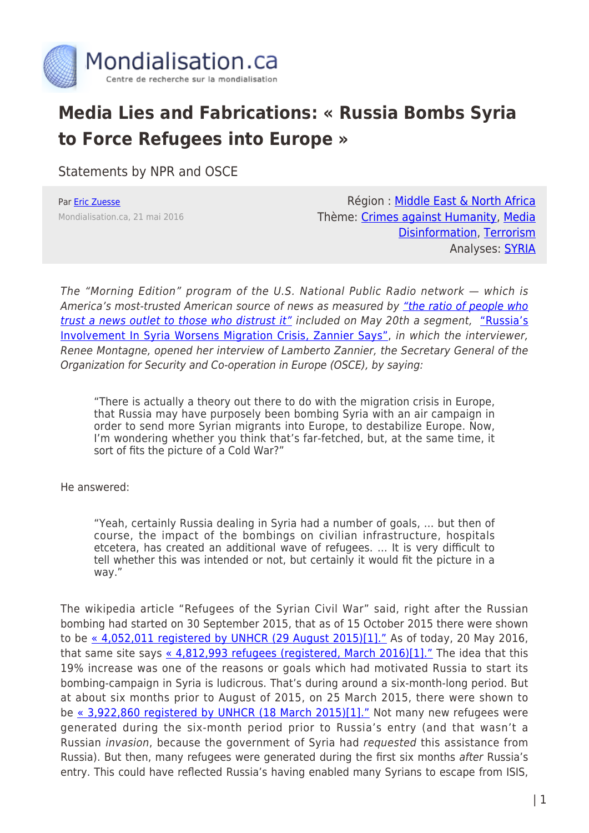

## **Media Lies and Fabrications: « Russia Bombs Syria to Force Refugees into Europe »**

Statements by NPR and OSCE

Par [Eric Zuesse](https://www.mondialisation.ca/author/eric-zuesse) Mondialisation.ca, 21 mai 2016

Région : [Middle East & North Africa](https://www.mondialisation.ca/region/middle-east) Thème: [Crimes against Humanity](https://www.mondialisation.ca/theme/crimes-against-humanity), [Media](https://www.mondialisation.ca/theme/media-disinformation) [Disinformation](https://www.mondialisation.ca/theme/media-disinformation), [Terrorism](https://www.mondialisation.ca/theme/9-11-war-on-terrorism) Analyses: **SYRIA** 

The "Morning Edition" program of the U.S. National Public Radio network — which is America's most-trusted American source of news as measured by ["the ratio of people who](http://www.pewresearch.org/fact-tank/2014/10/30/which-news-organization-is-the-most-trusted-the-answer-is-complicated/) [trust a news outlet to those who distrust it"](http://www.pewresearch.org/fact-tank/2014/10/30/which-news-organization-is-the-most-trusted-the-answer-is-complicated/) included on May 20th a segment, ["Russia's](http://www.npr.org/2016/05/20/478804562/russias-involvement-in-syria-is-worsening-migration-crisis-zannier-says) [Involvement In Syria Worsens Migration Crisis, Zannier Says"](http://www.npr.org/2016/05/20/478804562/russias-involvement-in-syria-is-worsening-migration-crisis-zannier-says), in which the interviewer, Renee Montagne, opened her interview of Lamberto Zannier, the Secretary General of the Organization for Security and Co-operation in Europe (OSCE), by saying:

"There is actually a theory out there to do with the migration crisis in Europe, that Russia may have purposely been bombing Syria with an air campaign in order to send more Syrian migrants into Europe, to destabilize Europe. Now, I'm wondering whether you think that's far-fetched, but, at the same time, it sort of fits the picture of a Cold War?"

He answered:

"Yeah, certainly Russia dealing in Syria had a number of goals, … but then of course, the impact of the bombings on civilian infrastructure, hospitals etcetera, has created an additional wave of refugees. … It is very difficult to tell whether this was intended or not, but certainly it would fit the picture in a way."

The wikipedia article "Refugees of the Syrian Civil War" said, right after the Russian bombing had started on 30 September 2015, that as of 15 October 2015 there were shown to be [« 4,052,011 registered by UNHCR \(29 August 2015\)\[1\]."](http://web.archive.org/web/20151015171025/https://en.wikipedia.org/wiki/Refugees_of_the_Syrian_civil_war) As of today, 20 May 2016, that same site says  $\frac{4,812,993}{9}$  refugees (registered, March 2016)[1]." The idea that this 19% increase was one of the reasons or goals which had motivated Russia to start its bombing-campaign in Syria is ludicrous. That's during around a six-month-long period. But at about six months prior to August of 2015, on 25 March 2015, there were shown to be [« 3,922,860 registered by UNHCR \(18 March 2015\)\[1\]."](http://web.archive.org/web/20150325215330/http://en.wikipedia.org/wiki/Refugees_of_the_Syrian_Civil_War) Not many new refugees were generated during the six-month period prior to Russia's entry (and that wasn't a Russian invasion, because the government of Syria had requested this assistance from Russia). But then, many refugees were generated during the first six months after Russia's entry. This could have reflected Russia's having enabled many Syrians to escape from ISIS,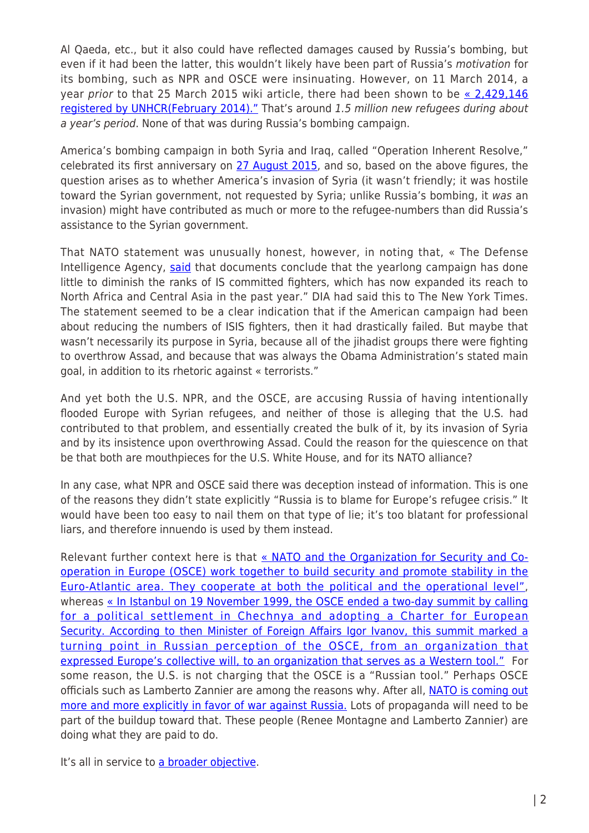Al Qaeda, etc., but it also could have reflected damages caused by Russia's bombing, but even if it had been the latter, this wouldn't likely have been part of Russia's motivation for its bombing, such as NPR and OSCE were insinuating. However, on 11 March 2014, a year prior to that 25 March 2015 wiki article, there had been shown to be  $\le 2,429,146$ [registered by UNHCR\(February 2014\)."](http://web.archive.org/web/20140311164503/http://en.wikipedia.org/wiki/Refugees_of_the_Syrian_civil_war) That's around 1.5 million new refugees during about a year's period. None of that was during Russia's bombing campaign.

America's bombing campaign in both Syria and Iraq, called "Operation Inherent Resolve," celebrated its first anniversary on [27 August 2015,](http://natoassociation.ca/the-slow-grind-americas-bombing-campaign-in-syria-and-iraq/) and so, based on the above figures, the question arises as to whether America's invasion of Syria (it wasn't friendly; it was hostile toward the Syrian government, not requested by Syria; unlike Russia's bombing, it was an invasion) might have contributed as much or more to the refugee-numbers than did Russia's assistance to the Syrian government.

That NATO statement was unusually honest, however, in noting that, « The Defense Intelligence Agency, [said](http://www.nytimes.com/2015/08/26/world/middleeast/pentagon-investigates-allegations-of-skewed-intelligence-reports-on-isis.html) that documents conclude that the yearlong campaign has done little to diminish the ranks of IS committed fighters, which has now expanded its reach to North Africa and Central Asia in the past year." DIA had said this to The New York Times. The statement seemed to be a clear indication that if the American campaign had been about reducing the numbers of ISIS fighters, then it had drastically failed. But maybe that wasn't necessarily its purpose in Syria, because all of the jihadist groups there were fighting to overthrow Assad, and because that was always the Obama Administration's stated main goal, in addition to its rhetoric against « terrorists."

And yet both the U.S. NPR, and the OSCE, are accusing Russia of having intentionally flooded Europe with Syrian refugees, and neither of those is alleging that the U.S. had contributed to that problem, and essentially created the bulk of it, by its invasion of Syria and by its insistence upon overthrowing Assad. Could the reason for the quiescence on that be that both are mouthpieces for the U.S. White House, and for its NATO alliance?

In any case, what NPR and OSCE said there was deception instead of information. This is one of the reasons they didn't state explicitly "Russia is to blame for Europe's refugee crisis." It would have been too easy to nail them on that type of lie; it's too blatant for professional liars, and therefore innuendo is used by them instead.

Relevant further context here is that [« NATO and the Organization for Security and Co](http://www.nato.int/cps/en/natohq/topics_49911.htm)[operation in Europe \(OSCE\) work together to build security and promote stability in the](http://www.nato.int/cps/en/natohq/topics_49911.htm) [Euro-Atlantic area. They cooperate at both the political and the operational level",](http://www.nato.int/cps/en/natohq/topics_49911.htm) whereas [« In Istanbul on 19 November 1999, the OSCE ended a two-day summit by calling](https://en.wikipedia.org/wiki/Organization_for_Security_and_Co-operation_in_Europe) [for a political settlement in Chechnya and adopting a Charter for European](https://en.wikipedia.org/wiki/Organization_for_Security_and_Co-operation_in_Europe) [Security. According to then Minister of Foreign Affairs Igor Ivanov, this summit marked a](https://en.wikipedia.org/wiki/Organization_for_Security_and_Co-operation_in_Europe) [turning point in Russian perception of the OSCE, from an organization that](https://en.wikipedia.org/wiki/Organization_for_Security_and_Co-operation_in_Europe) [expressed Europe's collective will, to an organization that serves as a Western tool."](https://en.wikipedia.org/wiki/Organization_for_Security_and_Co-operation_in_Europe) For some reason, the U.S. is not charging that the OSCE is a "Russian tool." Perhaps OSCE officials such as Lamberto Zannier are among the reasons why. After all, [NATO is coming out](http://rinf.com/alt-news/latest-news/americas-natos-outrageous-behavior-greatest-threat-exists/) [more and more explicitly in favor of war against Russia.](http://rinf.com/alt-news/latest-news/americas-natos-outrageous-behavior-greatest-threat-exists/) Lots of propaganda will need to be part of the buildup toward that. These people (Renee Montagne and Lamberto Zannier) are doing what they are paid to do.

It's all in service to [a broader objective.](http://rinf.com/alt-news/breaking-news/vicious-liar-trump-obama/)